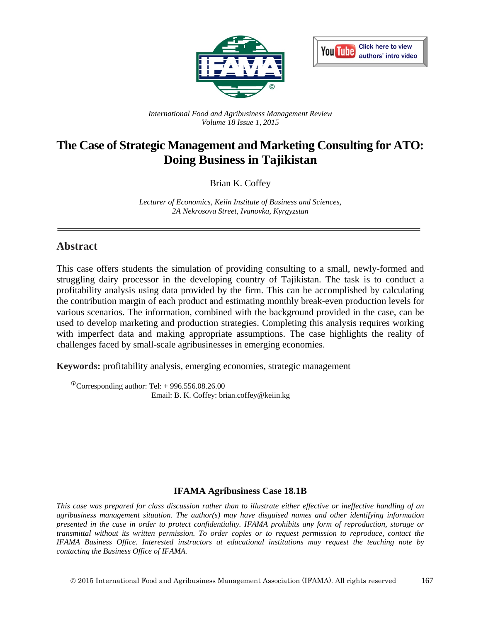



*International Food and Agribusiness Management Review Volume 18 Issue 1, 2015*

# **The Case of Strategic Management and Marketing Consulting for ATO: Doing Business in Tajikistan**

Brian K. Coffey

*Lecturer of Economics, Keiin Institute of Business and Sciences, 2A Nekrosova Street, Ivanovka, Kyrgyzstan*

### **Abstract**

This case offers students the simulation of providing consulting to a small, newly-formed and struggling dairy processor in the developing country of Tajikistan. The task is to conduct a profitability analysis using data provided by the firm. This can be accomplished by calculating the contribution margin of each product and estimating monthly break-even production levels for various scenarios. The information, combined with the background provided in the case, can be used to develop marketing and production strategies. Completing this analysis requires working with imperfect data and making appropriate assumptions. The case highlights the reality of challenges faced by small-scale agribusinesses in emerging economies.

**Keywords:** profitability analysis, emerging economies, strategic management

 $\textcirc{}$ Corresponding author: Tel: + 996.556.08.26.00 Email: B. K. Coffey: brian.coffey@keiin.kg

#### **IFAMA Agribusiness Case 18.1B**

*This case was prepared for class discussion rather than to illustrate either effective or ineffective handling of an agribusiness management situation. The author(s) may have disguised names and other identifying information presented in the case in order to protect confidentiality. IFAMA prohibits any form of reproduction, storage or transmittal without its written permission. To order copies or to request permission to reproduce, contact the IFAMA Business Office. Interested instructors at educational institutions may request the teaching note by contacting the Business Office of IFAMA.*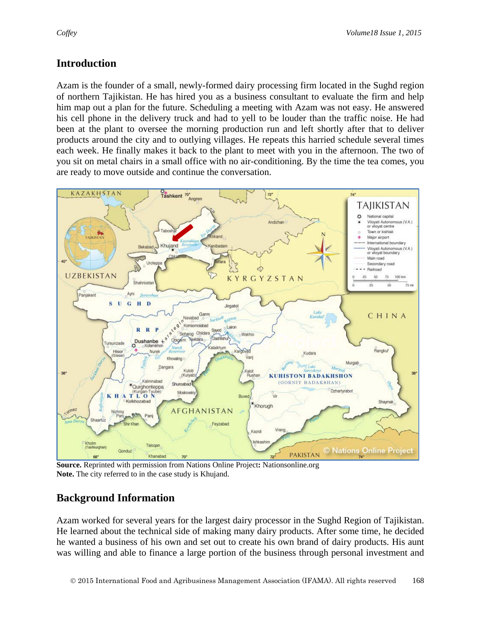## **Introduction**

Azam is the founder of a small, newly-formed dairy processing firm located in the Sughd region of northern Tajikistan. He has hired you as a business consultant to evaluate the firm and help him map out a plan for the future. Scheduling a meeting with Azam was not easy. He answered his cell phone in the delivery truck and had to yell to be louder than the traffic noise. He had been at the plant to oversee the morning production run and left shortly after that to deliver products around the city and to outlying villages. He repeats this harried schedule several times each week. He finally makes it back to the plant to meet with you in the afternoon. The two of you sit on metal chairs in a small office with no air-conditioning. By the time the tea comes, you are ready to move outside and continue the conversation.



**Source.** Reprinted with permission from Nations Online Project**:** Nationsonline.org **Note.** The city referred to in the case study is Khujand.

## **Background Information**

Azam worked for several years for the largest dairy processor in the Sughd Region of Tajikistan. He learned about the technical side of making many dairy products. After some time, he decided he wanted a business of his own and set out to create his own brand of dairy products. His aunt was willing and able to finance a large portion of the business through personal investment and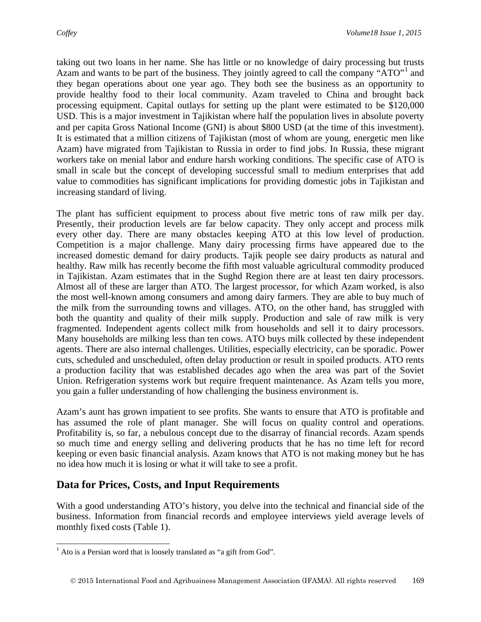taking out two loans in her name. She has little or no knowledge of dairy processing but trusts Azam and wants to be part of the business. They jointly agreed to call the company "ATO"<sup>[1](#page-2-0)</sup> and they began operations about one year ago. They both see the business as an opportunity to provide healthy food to their local community. Azam traveled to China and brought back processing equipment. Capital outlays for setting up the plant were estimated to be \$120,000 USD. This is a major investment in Tajikistan where half the population lives in absolute poverty and per capita Gross National Income (GNI) is about \$800 USD (at the time of this investment). It is estimated that a million citizens of Tajikistan (most of whom are young, energetic men like Azam) have migrated from Tajikistan to Russia in order to find jobs. In Russia, these migrant workers take on menial labor and endure harsh working conditions. The specific case of ATO is small in scale but the concept of developing successful small to medium enterprises that add value to commodities has significant implications for providing domestic jobs in Tajikistan and increasing standard of living.

The plant has sufficient equipment to process about five metric tons of raw milk per day. Presently, their production levels are far below capacity. They only accept and process milk every other day. There are many obstacles keeping ATO at this low level of production. Competition is a major challenge. Many dairy processing firms have appeared due to the increased domestic demand for dairy products. Tajik people see dairy products as natural and healthy. Raw milk has recently become the fifth most valuable agricultural commodity produced in Tajikistan. Azam estimates that in the Sughd Region there are at least ten dairy processors. Almost all of these are larger than ATO. The largest processor, for which Azam worked, is also the most well-known among consumers and among dairy farmers. They are able to buy much of the milk from the surrounding towns and villages. ATO, on the other hand, has struggled with both the quantity and quality of their milk supply. Production and sale of raw milk is very fragmented. Independent agents collect milk from households and sell it to dairy processors. Many households are milking less than ten cows. ATO buys milk collected by these independent agents. There are also internal challenges. Utilities, especially electricity, can be sporadic. Power cuts, scheduled and unscheduled, often delay production or result in spoiled products. ATO rents a production facility that was established decades ago when the area was part of the Soviet Union. Refrigeration systems work but require frequent maintenance. As Azam tells you more, you gain a fuller understanding of how challenging the business environment is.

Azam's aunt has grown impatient to see profits. She wants to ensure that ATO is profitable and has assumed the role of plant manager. She will focus on quality control and operations. Profitability is, so far, a nebulous concept due to the disarray of financial records. Azam spends so much time and energy selling and delivering products that he has no time left for record keeping or even basic financial analysis. Azam knows that ATO is not making money but he has no idea how much it is losing or what it will take to see a profit.

## **Data for Prices, Costs, and Input Requirements**

With a good understanding ATO's history, you delve into the technical and financial side of the business. Information from financial records and employee interviews yield average levels of monthly fixed costs (Table 1).

<span id="page-2-0"></span> $<sup>1</sup>$  Ato is a Persian word that is loosely translated as "a gift from God".</sup>  $\overline{a}$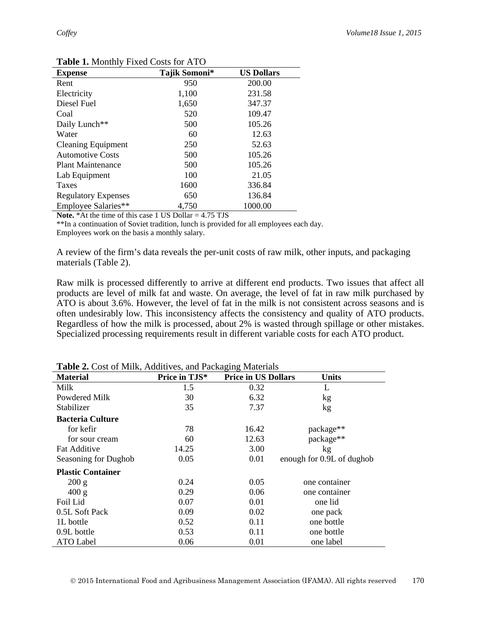| <b>Expense</b>             | Tajik Somoni* | <b>US Dollars</b> |
|----------------------------|---------------|-------------------|
| Rent                       | 950           | 200.00            |
| Electricity                | 1,100         | 231.58            |
| Diesel Fuel                | 1,650         | 347.37            |
| Coal                       | 520           | 109.47            |
| Daily Lunch**              | 500           | 105.26            |
| Water                      | 60            | 12.63             |
| <b>Cleaning Equipment</b>  | 250           | 52.63             |
| <b>Automotive Costs</b>    | 500           | 105.26            |
| <b>Plant Maintenance</b>   | 500           | 105.26            |
| Lab Equipment              | 100           | 21.05             |
| Taxes                      | 1600          | 336.84            |
| <b>Regulatory Expenses</b> | 650           | 136.84            |
| Employee Salaries**        | 4,750         | 1000.00           |

**Table 1.** Monthly Fixed Costs for ATO

Note. \*At the time of this case 1 US Dollar = 4.75 TJS

\*\*In a continuation of Soviet tradition, lunch is provided for all employees each day.

Employees work on the basis a monthly salary.

A review of the firm's data reveals the per-unit costs of raw milk, other inputs, and packaging materials (Table 2).

Raw milk is processed differently to arrive at different end products. Two issues that affect all products are level of milk fat and waste. On average, the level of fat in raw milk purchased by ATO is about 3.6%. However, the level of fat in the milk is not consistent across seasons and is often undesirably low. This inconsistency affects the consistency and quality of ATO products. Regardless of how the milk is processed, about 2% is wasted through spillage or other mistakes. Specialized processing requirements result in different variable costs for each ATO product.

| <b>rapit 2.</b> Cost of <i>willi</i> , <i>Piguittives</i> , and I ackaging <i>widitions</i> |               |                            |                           |  |
|---------------------------------------------------------------------------------------------|---------------|----------------------------|---------------------------|--|
| <b>Material</b>                                                                             | Price in TJS* | <b>Price in US Dollars</b> | <b>Units</b>              |  |
| Milk                                                                                        | 1.5           | 0.32                       | L                         |  |
| Powdered Milk                                                                               | 30            | 6.32                       | kg                        |  |
| Stabilizer                                                                                  | 35            | 7.37                       | kg                        |  |
| <b>Bacteria Culture</b>                                                                     |               |                            |                           |  |
| for kefir                                                                                   | 78            | 16.42                      | package**                 |  |
| for sour cream                                                                              | 60            | 12.63                      | package**                 |  |
| <b>Fat Additive</b>                                                                         | 14.25         | 3.00                       | kg                        |  |
| Seasoning for Dughob                                                                        | 0.05          | 0.01                       | enough for 0.9L of dughob |  |
| <b>Plastic Container</b>                                                                    |               |                            |                           |  |
| 200 g                                                                                       | 0.24          | 0.05                       | one container             |  |
| 400 g                                                                                       | 0.29          | 0.06                       | one container             |  |
| Foil Lid                                                                                    | 0.07          | 0.01                       | one lid                   |  |
| 0.5L Soft Pack                                                                              | 0.09          | 0.02                       | one pack                  |  |
| 1L bottle                                                                                   | 0.52          | 0.11                       | one bottle                |  |
| 0.9L bottle                                                                                 | 0.53          | 0.11                       | one bottle                |  |
| <b>ATO Label</b>                                                                            | 0.06          | 0.01                       | one label                 |  |

**Table 2.** Cost of Milk, Additives, and Packaging Materials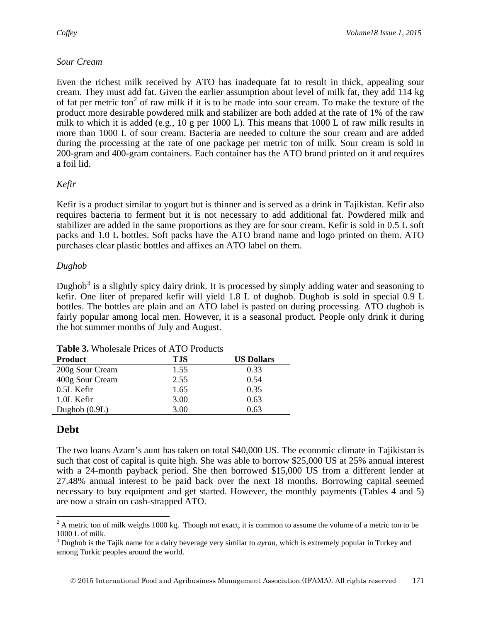#### *Sour Cream*

Even the richest milk received by ATO has inadequate fat to result in thick, appealing sour cream. They must add fat. Given the earlier assumption about level of milk fat, they add 114 kg of fat per metric ton<sup>[2](#page-4-0)</sup> of raw milk if it is to be made into sour cream. To make the texture of the product more desirable powdered milk and stabilizer are both added at the rate of 1% of the raw milk to which it is added (e.g., 10 g per 1000 L). This means that  $1000$  L of raw milk results in more than 1000 L of sour cream. Bacteria are needed to culture the sour cream and are added during the processing at the rate of one package per metric ton of milk. Sour cream is sold in 200-gram and 400-gram containers. Each container has the ATO brand printed on it and requires a foil lid.

### *Kefir*

Kefir is a product similar to yogurt but is thinner and is served as a drink in Tajikistan. Kefir also requires bacteria to ferment but it is not necessary to add additional fat. Powdered milk and stabilizer are added in the same proportions as they are for sour cream. Kefir is sold in 0.5 L soft packs and 1.0 L bottles. Soft packs have the ATO brand name and logo printed on them. ATO purchases clear plastic bottles and affixes an ATO label on them.

#### *Dughob*

Dughob<sup>[3](#page-4-1)</sup> is a slightly spicy dairy drink. It is processed by simply adding water and seasoning to kefir. One liter of prepared kefir will yield 1.8 L of dughob. Dughob is sold in special 0.9 L bottles. The bottles are plain and an ATO label is pasted on during processing. ATO dughob is fairly popular among local men. However, it is a seasonal product. People only drink it during the hot summer months of July and August.

| <b>Table 3.</b> Wholesale Friegs of TYTO Froughts |            |                   |  |
|---------------------------------------------------|------------|-------------------|--|
| <b>Product</b>                                    | <b>TJS</b> | <b>US Dollars</b> |  |
| 200g Sour Cream                                   | 1.55       | 0.33              |  |
| 400g Sour Cream                                   | 2.55       | 0.54              |  |
| 0.5L Kefir                                        | 1.65       | 0.35              |  |
| 1.0L Kefir                                        | 3.00       | 0.63              |  |
| Dughob $(0.9L)$                                   | 3.00       | 0.63              |  |

**Table 3.** Wholesale Prices of ATO Products

# **Debt**

The two loans Azam's aunt has taken on total \$40,000 US. The economic climate in Tajikistan is such that cost of capital is quite high. She was able to borrow \$25,000 US at 25% annual interest with a 24-month payback period. She then borrowed \$15,000 US from a different lender at 27.48% annual interest to be paid back over the next 18 months. Borrowing capital seemed necessary to buy equipment and get started. However, the monthly payments (Tables 4 and 5) are now a strain on cash-strapped ATO.

<span id="page-4-0"></span> $2^2$  A metric ton of milk weighs 1000 kg. Though not exact, it is common to assume the volume of a metric ton to be 1000 L of milk.  $\overline{a}$ 

<span id="page-4-1"></span><sup>3</sup> Dughob is the Tajik name for a dairy beverage very similar to *ayran,* which is extremely popular in Turkey and among Turkic peoples around the world.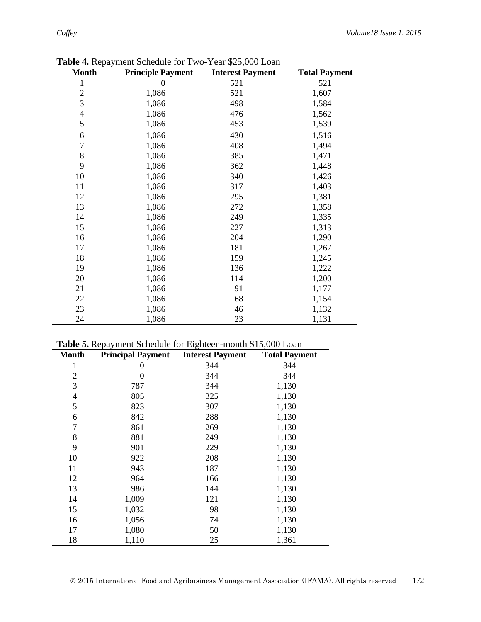| <b>Month</b>   | <b>Principle Payment</b> | <b>Interest Payment</b> | <b>Total Payment</b> |
|----------------|--------------------------|-------------------------|----------------------|
| 1              | 0                        | 521                     | 521                  |
| $\overline{c}$ | 1,086                    | 521                     | 1,607                |
| 3              | 1,086                    | 498                     | 1,584                |
| $\overline{4}$ | 1,086                    | 476                     | 1,562                |
| 5              | 1,086                    | 453                     | 1,539                |
| 6              | 1,086                    | 430                     | 1,516                |
| $\overline{7}$ | 1,086                    | 408                     | 1,494                |
| 8              | 1,086                    | 385                     | 1,471                |
| 9              | 1,086                    | 362                     | 1,448                |
| 10             | 1,086                    | 340                     | 1,426                |
| 11             | 1,086                    | 317                     | 1,403                |
| 12             | 1,086                    | 295                     | 1,381                |
| 13             | 1,086                    | 272                     | 1,358                |
| 14             | 1,086                    | 249                     | 1,335                |
| 15             | 1,086                    | 227                     | 1,313                |
| 16             | 1,086                    | 204                     | 1,290                |
| 17             | 1,086                    | 181                     | 1,267                |
| 18             | 1,086                    | 159                     | 1,245                |
| 19             | 1,086                    | 136                     | 1,222                |
| 20             | 1,086                    | 114                     | 1,200                |
| 21             | 1,086                    | 91                      | 1,177                |
| 22             | 1,086                    | 68                      | 1,154                |
| 23             | 1,086                    | 46                      | 1,132                |
| 24             | 1,086                    | 23                      | 1,131                |

**Table 4.** Repayment Schedule for Two-Year \$25,000 Loan

|  |  | Table 5. Repayment Schedule for Eighteen-month \$15,000 Loan |
|--|--|--------------------------------------------------------------|
|--|--|--------------------------------------------------------------|

| <b>Month</b>   | <b>Principal Payment</b> | <b>Interest Payment</b> | <b>Total Payment</b> |
|----------------|--------------------------|-------------------------|----------------------|
| 1              | 0                        | 344                     | 344                  |
| $\overline{2}$ | 0                        | 344                     | 344                  |
| 3              | 787                      | 344                     | 1,130                |
| 4              | 805                      | 325                     | 1,130                |
| 5              | 823                      | 307                     | 1,130                |
| 6              | 842                      | 288                     | 1,130                |
| 7              | 861                      | 269                     | 1,130                |
| 8              | 881                      | 249                     | 1,130                |
| 9              | 901                      | 229                     | 1,130                |
| 10             | 922                      | 208                     | 1,130                |
| 11             | 943                      | 187                     | 1,130                |
| 12             | 964                      | 166                     | 1,130                |
| 13             | 986                      | 144                     | 1,130                |
| 14             | 1,009                    | 121                     | 1,130                |
| 15             | 1,032                    | 98                      | 1,130                |
| 16             | 1,056                    | 74                      | 1,130                |
| 17             | 1,080                    | 50                      | 1,130                |
| 18             | 1,110                    | 25                      | 1,361                |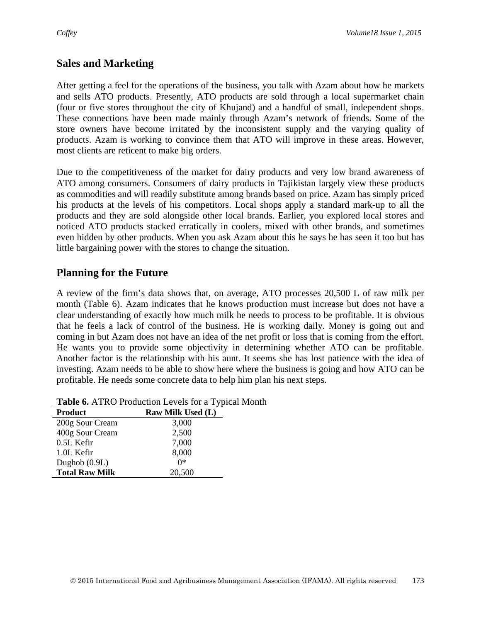## **Sales and Marketing**

After getting a feel for the operations of the business, you talk with Azam about how he markets and sells ATO products. Presently, ATO products are sold through a local supermarket chain (four or five stores throughout the city of Khujand) and a handful of small, independent shops. These connections have been made mainly through Azam's network of friends. Some of the store owners have become irritated by the inconsistent supply and the varying quality of products. Azam is working to convince them that ATO will improve in these areas. However, most clients are reticent to make big orders.

Due to the competitiveness of the market for dairy products and very low brand awareness of ATO among consumers. Consumers of dairy products in Tajikistan largely view these products as commodities and will readily substitute among brands based on price. Azam has simply priced his products at the levels of his competitors. Local shops apply a standard mark-up to all the products and they are sold alongside other local brands. Earlier, you explored local stores and noticed ATO products stacked erratically in coolers, mixed with other brands, and sometimes even hidden by other products. When you ask Azam about this he says he has seen it too but has little bargaining power with the stores to change the situation.

## **Planning for the Future**

A review of the firm's data shows that, on average, ATO processes 20,500 L of raw milk per month (Table 6). Azam indicates that he knows production must increase but does not have a clear understanding of exactly how much milk he needs to process to be profitable. It is obvious that he feels a lack of control of the business. He is working daily. Money is going out and coming in but Azam does not have an idea of the net profit or loss that is coming from the effort. He wants you to provide some objectivity in determining whether ATO can be profitable. Another factor is the relationship with his aunt. It seems she has lost patience with the idea of investing. Azam needs to be able to show here where the business is going and how ATO can be profitable. He needs some concrete data to help him plan his next steps.

| <b>Product</b>        | <b>Raw Milk Used (L)</b> |
|-----------------------|--------------------------|
| 200g Sour Cream       | 3,000                    |
| 400g Sour Cream       | 2,500                    |
| 0.5L Kefir            | 7,000                    |
| 1.0L Kefir            | 8,000                    |
| Dughob $(0.9L)$       | ∩*                       |
| <b>Total Raw Milk</b> | 20,500                   |

| Table 6. ATRO Production Levels for a Typical Month |  |
|-----------------------------------------------------|--|
|-----------------------------------------------------|--|